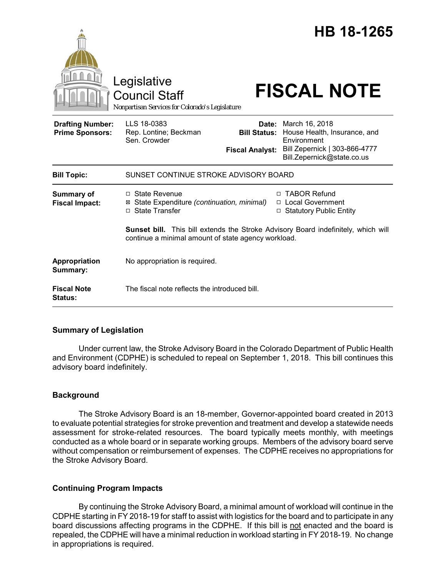|                                                   | Legislative<br><b>Council Staff</b><br>Nonpartisan Services for Colorado's Legislature     |                                               | HB 18-1265<br><b>FISCAL NOTE</b>                                                                                                                                   |
|---------------------------------------------------|--------------------------------------------------------------------------------------------|-----------------------------------------------|--------------------------------------------------------------------------------------------------------------------------------------------------------------------|
| <b>Drafting Number:</b><br><b>Prime Sponsors:</b> | LLS 18-0383<br>Rep. Lontine; Beckman<br>Sen. Crowder                                       | <b>Bill Status:</b><br><b>Fiscal Analyst:</b> | <b>Date:</b> March 16, 2018<br>House Health, Insurance, and<br>Environment<br>Bill Zepernick   303-866-4777<br>Bill.Zepernick@state.co.us                          |
| <b>Bill Topic:</b>                                | SUNSET CONTINUE STROKE ADVISORY BOARD                                                      |                                               |                                                                                                                                                                    |
| <b>Summary of</b><br><b>Fiscal Impact:</b>        | $\Box$ State Revenue<br>State Expenditure (continuation, minimal)<br>⊠<br>□ State Transfer | □                                             | □ TABOR Refund<br>□ Local Government<br><b>Statutory Public Entity</b><br><b>Sunset bill.</b> This bill extends the Stroke Advisory Board indefinitely, which will |
|                                                   | continue a minimal amount of state agency workload.                                        |                                               |                                                                                                                                                                    |
| Appropriation<br>Summary:                         | No appropriation is required.                                                              |                                               |                                                                                                                                                                    |
| <b>Fiscal Note</b><br>Status:                     | The fiscal note reflects the introduced bill.                                              |                                               |                                                                                                                                                                    |

#### **Summary of Legislation**

Under current law, the Stroke Advisory Board in the Colorado Department of Public Health and Environment (CDPHE) is scheduled to repeal on September 1, 2018. This bill continues this advisory board indefinitely.

# **Background**

The Stroke Advisory Board is an 18-member, Governor-appointed board created in 2013 to evaluate potential strategies for stroke prevention and treatment and develop a statewide needs assessment for stroke-related resources. The board typically meets monthly, with meetings conducted as a whole board or in separate working groups. Members of the advisory board serve without compensation or reimbursement of expenses. The CDPHE receives no appropriations for the Stroke Advisory Board.

# **Continuing Program Impacts**

By continuing the Stroke Advisory Board, a minimal amount of workload will continue in the CDPHE starting in FY 2018-19 for staff to assist with logistics for the board and to participate in any board discussions affecting programs in the CDPHE. If this bill is not enacted and the board is repealed, the CDPHE will have a minimal reduction in workload starting in FY 2018-19. No change in appropriations is required.